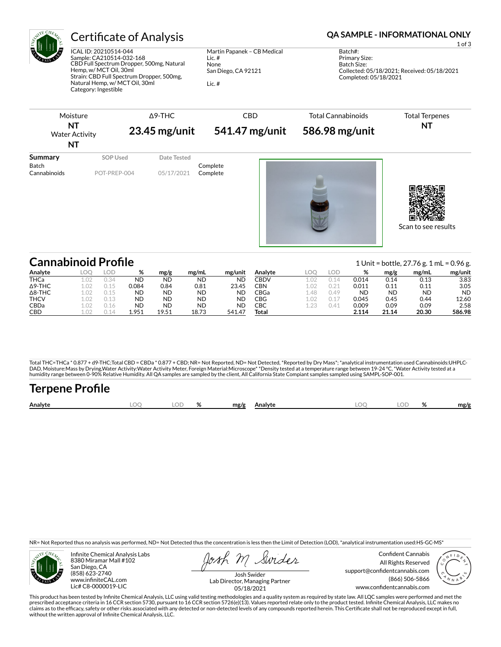

ICAL ID: 20210514-044 Sample: CA210514-032-168 CBD Full Spectrum Dropper, 500mg, Natural Hemp, w/ MCT Oil, 30ml Strain: CBD Full Spectrum Dropper, 500mg, Natural Hemp, w/ MCT Oil, 30ml Category: Ingestible

Martin Papanek – CB Medical Lic. # None San Diego, CA 92121 Lic. #

# Certificate of Analysis **Certificate of Analysis QA SAMPLE - INFORMATIONAL ONLY**

1 of 3

Batch#: Primary Size: Batch Size: Collected: 05/18/2021; Received: 05/18/2021 Completed: 05/18/2021

| Moisture<br><b>NT</b><br><b>Water Activity</b><br>ΝT |                                 | $\Delta$ 9-THC<br>$23.45$ mg/unit | <b>CBD</b><br>541.47 mg/unit |  | <b>Total Cannabinoids</b><br>586.98 mg/unit | <b>Total Terpenes</b><br><b>NT</b> |
|------------------------------------------------------|---------------------------------|-----------------------------------|------------------------------|--|---------------------------------------------|------------------------------------|
| <b>Summary</b><br><b>Batch</b><br>Cannabinoids       | <b>SOP Used</b><br>POT-PREP-004 | Date Tested<br>05/17/2021         | Complete<br>Complete         |  |                                             | Scan to see results                |

| <b>Cannabinoid Profile</b> |                 |      |           |           |       |           |         |      |      |           |           | 1 Unit = bottle, $27.76$ g. 1 mL = 0.96 g. |           |
|----------------------------|-----------------|------|-----------|-----------|-------|-----------|---------|------|------|-----------|-----------|--------------------------------------------|-----------|
| Analyte                    | LOO             | LOD  | %         | mg/g      | mg/mL | mg/unit   | Analvte | LOC  | lod  | %         | mg/g      | mg/mL                                      | mg/unit   |
| THCa                       |                 | 0.34 | ND        | <b>ND</b> | ND    | <b>ND</b> | CBDV    |      |      | 0.014     | 0.14      | 0.13                                       | 3.83      |
| $\Delta$ 9-THC             | 1.02            | N 15 | 0.084     | 0.84      | 0.81  | 23.45     | CBN     | 1.02 | 0.21 | 0.011     | 0.11      | 0.11                                       | 3.05      |
| $\Delta$ 8-THC             | 1.02            | 0.15 | ND        | ND        | ND    | <b>ND</b> | CBGa    | 48   | 0.49 | <b>ND</b> | <b>ND</b> | <b>ND</b>                                  | <b>ND</b> |
| <b>THCV</b>                | 1.02            | 0.13 | <b>ND</b> | <b>ND</b> | ND    | <b>ND</b> | CBG     | 1.02 | 0.17 | 0.045     | 0.45      | 0.44                                       | 12.60     |
| <b>CBDa</b>                | LO <sub>2</sub> | 0.16 | <b>ND</b> | ND        | ND    | ND        | СВС     | 1.23 | 0.41 | 0.009     | 0.09      | 0.09                                       | 2.58      |
| <b>CBD</b>                 |                 |      | 1.951     | 19.51     | 18.73 | 541.47    | Total   |      |      | 2.114     | 21.14     | 20.30                                      | 586.98    |

Total THC=THCa \* 0.877 + d9-THC;Total CBD = CBDa \* 0.877 + CBD; NR= Not Reported, ND= Not Detected, \*Reported by Dry Mass\*; \*analytical instrumentation used Cannabinoids:UHPLC-DAD, Moisture:Mass by Drying,Water Activity:Water Activity Meter, Foreign Material:Microscope\* \*Density tested at a temperature range between 19-24 °C, \*Water Activity tested at a<br>humidity range between 0-90% Relative Humi

| <b>Terpene Profile</b> |      |       |              |      |       |      |
|------------------------|------|-------|--------------|------|-------|------|
| Analyte                | LOO. | LOD % | mg/g Analyte | LOO. | LOD % | mg/g |

NR= Not Reported thus no analysis was performed, ND= Not Detected thus the concentration is less then the Limit of Detection (LOD), \*analytical instrumentation used:HS-GC-MS\*



Infinite Chemical Analysis Labs 8380 Miramar Mall #102 San Diego, CA (858) 623-2740 www.infiniteCAL.com Lic# C8-0000019-LIC

Swider

Confident Cannabis All Rights Reserved support@confidentcannabis.com (866) 506-5866 www.confidentcannabis.com



Josh Swider Lab Director, Managing Partner 05/18/2021

This product has been tested by Infinite Chemical Analysis, LLC using valid testing methodologies and a quality system as required by state law. All LQC samples were performed and met the prescribed acceptance criteria in 16 CCR section 5730, pursuant to 16 CCR section 5726(e)(13). Values reported relate only to the product tested. Infinite Chemical Analysis, LLC makes no<br>claims as to the efficacy, safety o without the written approval of Infinite Chemical Analysis, LLC.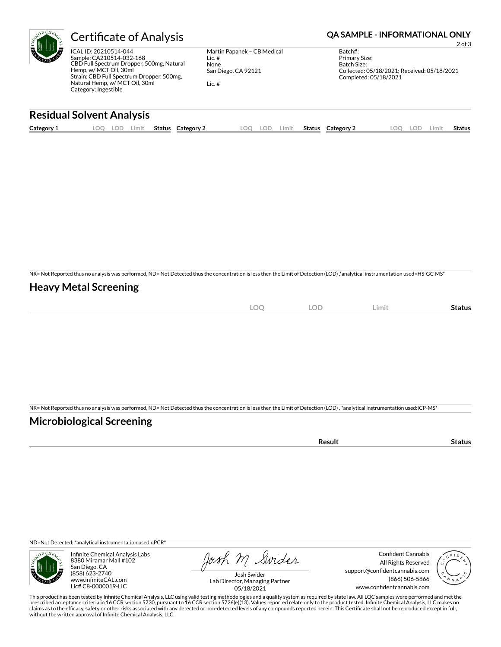

ICAL ID: 20210514-044 Sample: CA210514-032-168 CBD Full Spectrum Dropper, 500mg, Natural Hemp, w/ MCT Oil, 30ml Strain: CBD Full Spectrum Dropper, 500mg, Natural Hemp, w/ MCT Oil, 30ml Category: Ingestible

Martin Papanek – CB Medical Lic. # None San Diego, CA 92121 Lic. #

## Certificate of Analysis **Certificate of Analysis QA SAMPLE - INFORMATIONAL ONLY**

2 of 3

Batch#: Primary Size: Batch Size: Collected: 05/18/2021; Received: 05/18/2021 Completed: 05/18/2021

### **Residual Solvent Analysis**

| Category 1 | .oc | cUL. | Limit | Status | Category 2 | LOO | LOD | Limit . | Status | Category 2 | $\Omega$ | LOD. | .imit | Status |
|------------|-----|------|-------|--------|------------|-----|-----|---------|--------|------------|----------|------|-------|--------|
|            |     |      |       |        |            |     |     |         |        |            |          |      |       |        |

NR= Not Reported thus no analysis was performed, ND= Not Detected thus the concentration is less then the Limit of Detection (LOD) ,\*analytical instrumentation used=HS-GC-MS\*

### **Heavy Metal Screening**

| $\sim$<br>λC<br>$-$<br>$\sim$ | OF<br>∽<br>$\overline{\phantom{a}}$ | Limit | status |
|-------------------------------|-------------------------------------|-------|--------|
|                               |                                     |       |        |

NR= Not Reported thus no analysis was performed, ND= Not Detected thus the concentration is less then the Limit of Detection (LOD) , \*analytical instrumentation used:ICP-MS\*

### **Microbiological Screening**

| ` sult ∴ |  |
|----------|--|
|          |  |

ND=Not Detected; \*analytical instrumentation used:qPCR\*



Infinite Chemical Analysis Labs 8380 Miramar Mall #102 San Diego, CA (858) 623-2740 www.infiniteCAL.com Lic# C8-0000019-LIC

Josh M Swider

Confident Cannabis All Rights Reserved support@confidentcannabis.com (866) 506-5866 www.confidentcannabis.com



Josh Swider Lab Director, Managing Partner 05/18/2021

This product has been tested by Infinite Chemical Analysis, LLC using valid testing methodologies and a quality system as required by state law. All LQC samples were performed and met the prescribed acceptance criteria in 16 CCR section 5730, pursuant to 16 CCR section 5726(e)(13). Values reported relate only to the product tested. Infinite Chemical Analysis, LLC makes no<br>claims as to the efficacy, safety o without the written approval of Infinite Chemical Analysis, LLC.